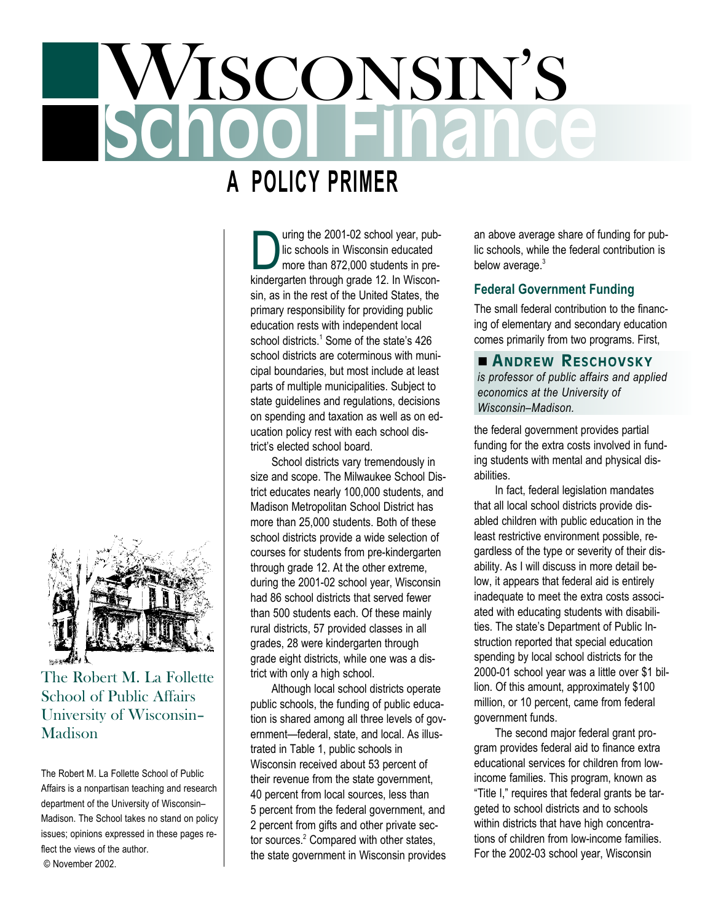# $\sqrt{{\rm ISCONSIN'S}}$

# **A POLICY PRIMER**

D uring the 2001-02 school year, public schools in Wisconsin educated more than 872,000 students in prekindergarten through grade 12. In Wisconsin, as in the rest of the United States, the primary responsibility for providing public education rests with independent local school districts.<sup>1</sup> Some of the state's 426 school districts are coterminous with municipal boundaries, but most include at least parts of multiple municipalities. Subject to state guidelines and regulations, decisions on spending and taxation as well as on education policy rest with each school district's elected school board.

School districts vary tremendously in size and scope. The Milwaukee School District educates nearly 100,000 students, and Madison Metropolitan School District has more than 25,000 students. Both of these school districts provide a wide selection of courses for students from pre-kindergarten through grade 12. At the other extreme, during the 2001-02 school year, Wisconsin had 86 school districts that served fewer than 500 students each. Of these mainly rural districts, 57 provided classes in all grades, 28 were kindergarten through grade eight districts, while one was a district with only a high school.

Although local school districts operate public schools, the funding of public education is shared among all three levels of government—federal, state, and local. As illustrated in Table 1, public schools in Wisconsin received about 53 percent of their revenue from the state government, 40 percent from local sources, less than 5 percent from the federal government, and 2 percent from gifts and other private sector sources.<sup>2</sup> Compared with other states, the state government in Wisconsin provides an above average share of funding for public schools, while the federal contribution is below average.<sup>3</sup>

# **Federal Government Funding**

The small federal contribution to the financing of elementary and secondary education comes primarily from two programs. First,

n **ANDREW RESCHOVSKY** *is professor of public affairs and applied economics at the University of Wisconsin–Madison.*

the federal government provides partial funding for the extra costs involved in funding students with mental and physical disabilities.

In fact, federal legislation mandates that all local school districts provide disabled children with public education in the least restrictive environment possible, regardless of the type or severity of their disability. As I will discuss in more detail below, it appears that federal aid is entirely inadequate to meet the extra costs associated with educating students with disabilities. The state's Department of Public Instruction reported that special education spending by local school districts for the 2000-01 school year was a little over \$1 billion. Of this amount, approximately \$100 million, or 10 percent, came from federal government funds.

The second major federal grant program provides federal aid to finance extra educational services for children from lowincome families. This program, known as "Title I," requires that federal grants be targeted to school districts and to schools within districts that have high concentrations of children from low-income families. For the 2002-03 school year, Wisconsin



*University of Wisconsin– Madison*

The Robert M. La Follette School of Public Affairs is a nonpartisan teaching and research department of the University of Wisconsin– Madison. The School takes no stand on policy issues; opinions expressed in these pages reflect the views of the author. © November 2002.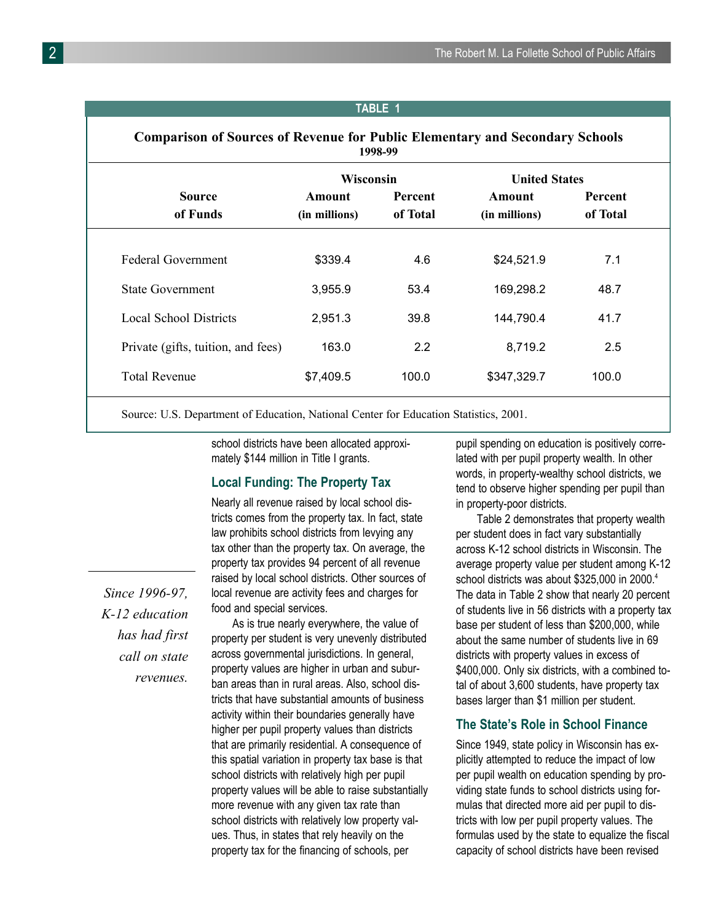#### **TABLE 1**

## **Comparison of Sources of Revenue for Public Elementary and Secondary Schools 1998-99**

|                                    | <b>Wisconsin</b>        |                            | <b>United States</b>    |                            |
|------------------------------------|-------------------------|----------------------------|-------------------------|----------------------------|
| <b>Source</b><br>of Funds          | Amount<br>(in millions) | <b>Percent</b><br>of Total | Amount<br>(in millions) | <b>Percent</b><br>of Total |
| Federal Government                 | \$339.4                 | 4.6                        | \$24,521.9              | 7.1                        |
| <b>State Government</b>            | 3,955.9                 | 53.4                       | 169,298.2               | 48.7                       |
| <b>Local School Districts</b>      | 2,951.3                 | 39.8                       | 144,790.4               | 41.7                       |
| Private (gifts, tuition, and fees) | 163.0                   | 2.2                        | 8,719.2                 | 2.5                        |
| <b>Total Revenue</b>               | \$7,409.5               | 100.0                      | \$347,329.7             | 100.0                      |

Source: U.S. Department of Education, National Center for Education Statistics, 2001.

school districts have been allocated approximately \$144 million in Title I grants.

#### **Local Funding: The Property Tax**

*Since 1996-97, K-12 education*

> *has had first call on state revenues.*

Nearly all revenue raised by local school districts comes from the property tax. In fact, state law prohibits school districts from levying any tax other than the property tax. On average, the property tax provides 94 percent of all revenue raised by local school districts. Other sources of local revenue are activity fees and charges for food and special services.

As is true nearly everywhere, the value of property per student is very unevenly distributed across governmental jurisdictions. In general, property values are higher in urban and suburban areas than in rural areas. Also, school districts that have substantial amounts of business activity within their boundaries generally have higher per pupil property values than districts that are primarily residential. A consequence of this spatial variation in property tax base is that school districts with relatively high per pupil property values will be able to raise substantially more revenue with any given tax rate than school districts with relatively low property values. Thus, in states that rely heavily on the property tax for the financing of schools, per

pupil spending on education is positively correlated with per pupil property wealth. In other words, in property-wealthy school districts, we tend to observe higher spending per pupil than in property-poor districts.

Table 2 demonstrates that property wealth per student does in fact vary substantially across K-12 school districts in Wisconsin. The average property value per student among K-12 school districts was about \$325,000 in 2000.<sup>4</sup> The data in Table 2 show that nearly 20 percent of students live in 56 districts with a property tax base per student of less than \$200,000, while about the same number of students live in 69 districts with property values in excess of \$400,000. Only six districts, with a combined total of about 3,600 students, have property tax bases larger than \$1 million per student.

#### **The State's Role in School Finance**

Since 1949, state policy in Wisconsin has explicitly attempted to reduce the impact of low per pupil wealth on education spending by providing state funds to school districts using formulas that directed more aid per pupil to districts with low per pupil property values. The formulas used by the state to equalize the fiscal capacity of school districts have been revised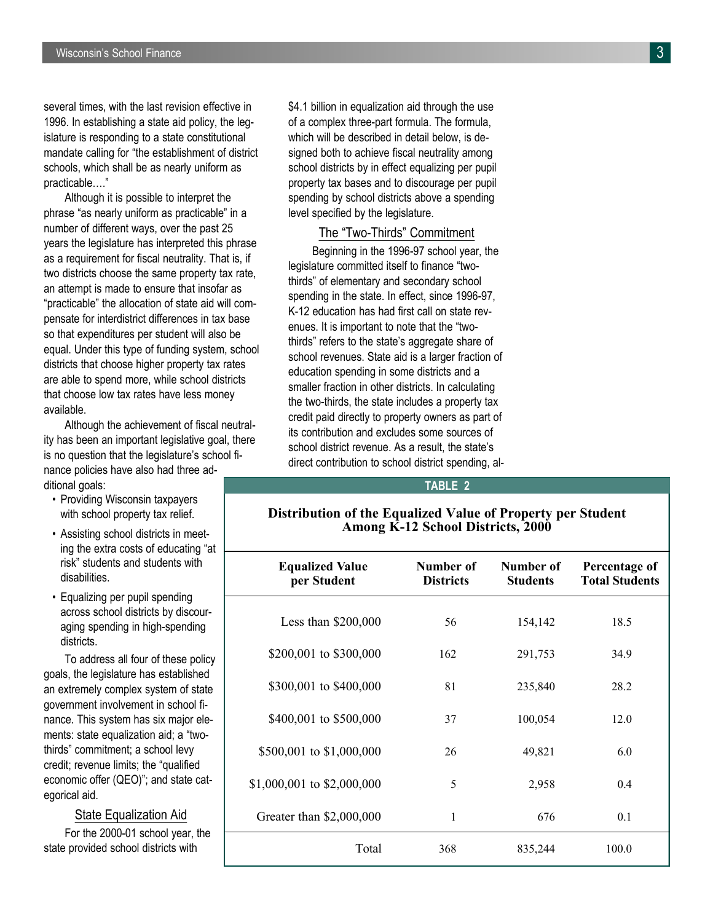several times, with the last revision effective in 1996. In establishing a state aid policy, the legislature is responding to a state constitutional mandate calling for "the establishment of district schools, which shall be as nearly uniform as practicable…."

Although it is possible to interpret the phrase "as nearly uniform as practicable" in a number of different ways, over the past 25 years the legislature has interpreted this phrase as a requirement for fiscal neutrality. That is, if two districts choose the same property tax rate, an attempt is made to ensure that insofar as "practicable" the allocation of state aid will compensate for interdistrict differences in tax base so that expenditures per student will also be equal. Under this type of funding system, school districts that choose higher property tax rates are able to spend more, while school districts that choose low tax rates have less money available.

Although the achievement of fiscal neutrality has been an important legislative goal, there is no question that the legislature's school finance policies have also had three additional goals:

- Providing Wisconsin taxpayers with school property tax relief.
- Assisting school districts in meeting the extra costs of educating "at risk" students and students with disabilities.
- Equalizing per pupil spending across school districts by discouraging spending in high-spending districts.

To address all four of these policy goals, the legislature has established an extremely complex system of state government involvement in school finance. This system has six major elements: state equalization aid; a "twothirds" commitment; a school levy credit; revenue limits; the "qualified economic offer (QEO)"; and state categorical aid.

#### State Equalization Aid

For the 2000-01 school year, the state provided school districts with

\$4.1 billion in equalization aid through the use of a complex three-part formula. The formula, which will be described in detail below, is designed both to achieve fiscal neutrality among school districts by in effect equalizing per pupil property tax bases and to discourage per pupil spending by school districts above a spending level specified by the legislature.

### The "Two-Thirds" Commitment

Beginning in the 1996-97 school year, the legislature committed itself to finance "twothirds" of elementary and secondary school spending in the state. In effect, since 1996-97, K-12 education has had first call on state revenues. It is important to note that the "twothirds" refers to the state's aggregate share of school revenues. State aid is a larger fraction of education spending in some districts and a smaller fraction in other districts. In calculating the two-thirds, the state includes a property tax credit paid directly to property owners as part of its contribution and excludes some sources of school district revenue. As a result, the state's direct contribution to school district spending, al-

#### **TABLE 2**

### **Distribution of the Equalized Value of Property per Student Among K-12 School Districts, 2000**

| <b>Equalized Value</b><br>per Student | Number of<br><b>Districts</b> | Number of<br><b>Students</b> | Percentage of<br><b>Total Students</b> |
|---------------------------------------|-------------------------------|------------------------------|----------------------------------------|
| Less than $$200,000$                  | 56                            | 154,142                      | 18.5                                   |
| \$200,001 to \$300,000                | 162                           | 291,753                      | 34.9                                   |
| \$300,001 to \$400,000                | 81                            | 235,840                      | 28.2                                   |
| \$400,001 to \$500,000                | 37                            | 100,054                      | 12.0                                   |
| \$500,001 to \$1,000,000              | 26                            | 49,821                       | 6.0                                    |
| \$1,000,001 to \$2,000,000            | 5                             | 2,958                        | 0.4                                    |
| Greater than \$2,000,000              | 1                             | 676                          | 0.1                                    |
| Total                                 | 368                           | 835,244                      | 100.0                                  |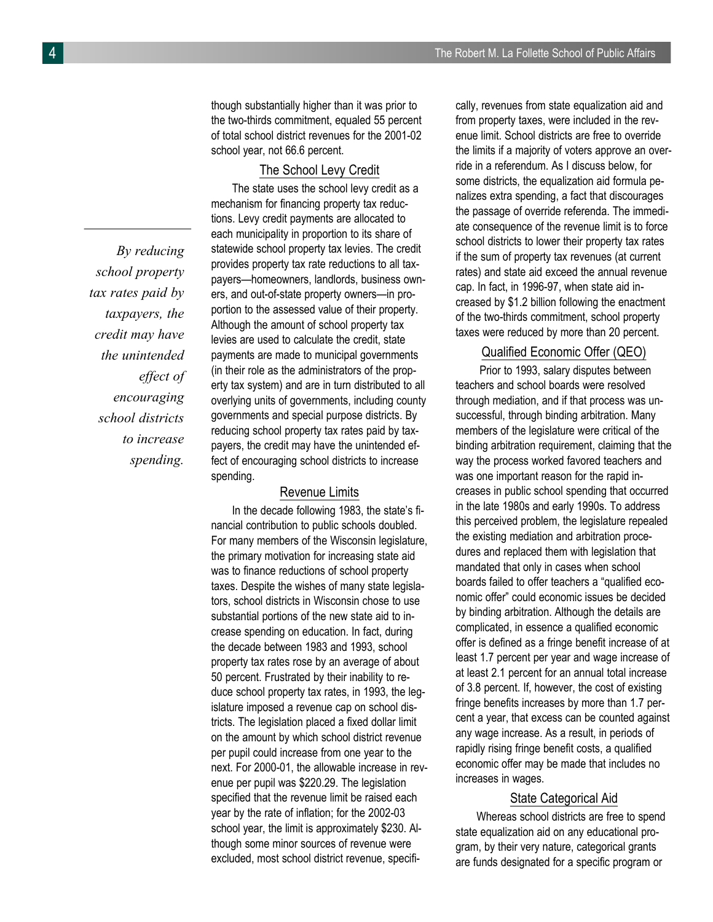though substantially higher than it was prior to the two-thirds commitment, equaled 55 percent of total school district revenues for the 2001-02 school year, not 66.6 percent.

# The School Levy Credit

The state uses the school levy credit as a mechanism for financing property tax reductions. Levy credit payments are allocated to each municipality in proportion to its share of statewide school property tax levies. The credit provides property tax rate reductions to all taxpayers—homeowners, landlords, business owners, and out-of-state property owners—in proportion to the assessed value of their property. Although the amount of school property tax levies are used to calculate the credit, state payments are made to municipal governments (in their role as the administrators of the property tax system) and are in turn distributed to all overlying units of governments, including county governments and special purpose districts. By reducing school property tax rates paid by taxpayers, the credit may have the unintended effect of encouraging school districts to increase spending.

#### Revenue Limits

In the decade following 1983, the state's financial contribution to public schools doubled. For many members of the Wisconsin legislature, the primary motivation for increasing state aid was to finance reductions of school property taxes. Despite the wishes of many state legislators, school districts in Wisconsin chose to use substantial portions of the new state aid to increase spending on education. In fact, during the decade between 1983 and 1993, school property tax rates rose by an average of about 50 percent. Frustrated by their inability to reduce school property tax rates, in 1993, the legislature imposed a revenue cap on school districts. The legislation placed a fixed dollar limit on the amount by which school district revenue per pupil could increase from one year to the next. For 2000-01, the allowable increase in revenue per pupil was \$220.29. The legislation specified that the revenue limit be raised each year by the rate of inflation; for the 2002-03 school year, the limit is approximately \$230. Although some minor sources of revenue were excluded, most school district revenue, specifically, revenues from state equalization aid and from property taxes, were included in the revenue limit. School districts are free to override the limits if a majority of voters approve an override in a referendum. As I discuss below, for some districts, the equalization aid formula penalizes extra spending, a fact that discourages the passage of override referenda. The immediate consequence of the revenue limit is to force school districts to lower their property tax rates if the sum of property tax revenues (at current rates) and state aid exceed the annual revenue cap. In fact, in 1996-97, when state aid increased by \$1.2 billion following the enactment of the two-thirds commitment, school property taxes were reduced by more than 20 percent.

# Qualified Economic Offer (QEO)

Prior to 1993, salary disputes between teachers and school boards were resolved through mediation, and if that process was unsuccessful, through binding arbitration. Many members of the legislature were critical of the binding arbitration requirement, claiming that the way the process worked favored teachers and was one important reason for the rapid increases in public school spending that occurred in the late 1980s and early 1990s. To address this perceived problem, the legislature repealed the existing mediation and arbitration procedures and replaced them with legislation that mandated that only in cases when school boards failed to offer teachers a "qualified economic offer" could economic issues be decided by binding arbitration. Although the details are complicated, in essence a qualified economic offer is defined as a fringe benefit increase of at least 1.7 percent per year and wage increase of at least 2.1 percent for an annual total increase of 3.8 percent. If, however, the cost of existing fringe benefits increases by more than 1.7 percent a year, that excess can be counted against any wage increase. As a result, in periods of rapidly rising fringe benefit costs, a qualified economic offer may be made that includes no increases in wages.

#### State Categorical Aid

Whereas school districts are free to spend state equalization aid on any educational program, by their very nature, categorical grants are funds designated for a specific program or

*By reducing school property tax rates paid by taxpayers, the credit may have the unintended effect of encouraging school districts to increase spending.*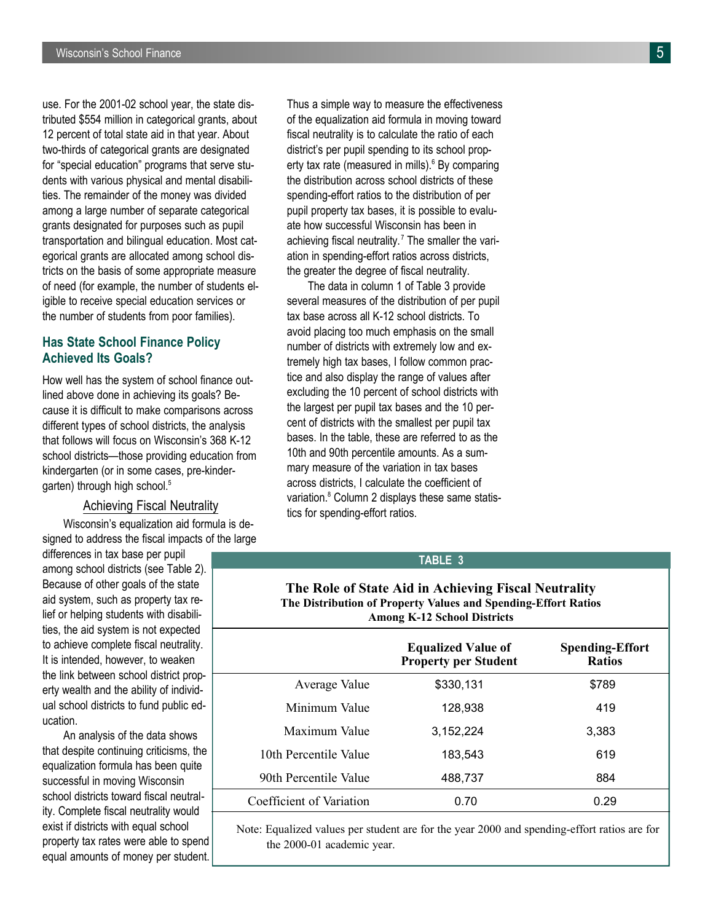use. For the 2001-02 school year, the state distributed \$554 million in categorical grants, about 12 percent of total state aid in that year. About two-thirds of categorical grants are designated for "special education" programs that serve students with various physical and mental disabilities. The remainder of the money was divided among a large number of separate categorical grants designated for purposes such as pupil transportation and bilingual education. Most categorical grants are allocated among school districts on the basis of some appropriate measure of need (for example, the number of students eligible to receive special education services or the number of students from poor families).

# **Has State School Finance Policy Achieved Its Goals?**

How well has the system of school finance outlined above done in achieving its goals? Because it is difficult to make comparisons across different types of school districts, the analysis that follows will focus on Wisconsin's 368 K-12 school districts—those providing education from kindergarten (or in some cases, pre-kindergarten) through high school.<sup>5</sup>

#### Achieving Fiscal Neutrality

Wisconsin's equalization aid formula is designed to address the fiscal impacts of the large

differences in tax base per pupil among school districts (see Table 2). Because of other goals of the state aid system, such as property tax relief or helping students with disabilities, the aid system is not expected to achieve complete fiscal neutrality. It is intended, however, to weaken the link between school district property wealth and the ability of individual school districts to fund public education.

An analysis of the data shows that despite continuing criticisms, the equalization formula has been quite successful in moving Wisconsin school districts toward fiscal neutrality. Complete fiscal neutrality would exist if districts with equal school property tax rates were able to spend equal amounts of money per student. Thus a simple way to measure the effectiveness of the equalization aid formula in moving toward fiscal neutrality is to calculate the ratio of each district's per pupil spending to its school property tax rate (measured in mills). $6$  By comparing the distribution across school districts of these spending-effort ratios to the distribution of per pupil property tax bases, it is possible to evaluate how successful Wisconsin has been in achieving fiscal neutrality.<sup>7</sup> The smaller the variation in spending-effort ratios across districts, the greater the degree of fiscal neutrality.

The data in column 1 of Table 3 provide several measures of the distribution of per pupil tax base across all K-12 school districts. To avoid placing too much emphasis on the small number of districts with extremely low and extremely high tax bases, I follow common practice and also display the range of values after excluding the 10 percent of school districts with the largest per pupil tax bases and the 10 percent of districts with the smallest per pupil tax bases. In the table, these are referred to as the 10th and 90th percentile amounts. As a summary measure of the variation in tax bases across districts, I calculate the coefficient of variation.<sup>8</sup> Column 2 displays these same statistics for spending-effort ratios.

#### **TABLE 3**

#### **The Role of State Aid in Achieving Fiscal Neutrality The Distribution of Property Values and Spending-Effort Ratios Among K-12 School Districts**

|                          | <b>Equalized Value of</b><br><b>Property per Student</b> | <b>Spending-Effort</b><br><b>Ratios</b> |
|--------------------------|----------------------------------------------------------|-----------------------------------------|
| Average Value            | \$330,131                                                | \$789                                   |
| Minimum Value            | 128,938                                                  | 419                                     |
| Maximum Value            | 3,152,224                                                | 3,383                                   |
| 10th Percentile Value    | 183,543                                                  | 619                                     |
| 90th Percentile Value    | 488,737                                                  | 884                                     |
| Coefficient of Variation | 0.70                                                     | 0.29                                    |

Note: Equalized values per student are for the year 2000 and spending-effort ratios are for the 2000-01 academic year.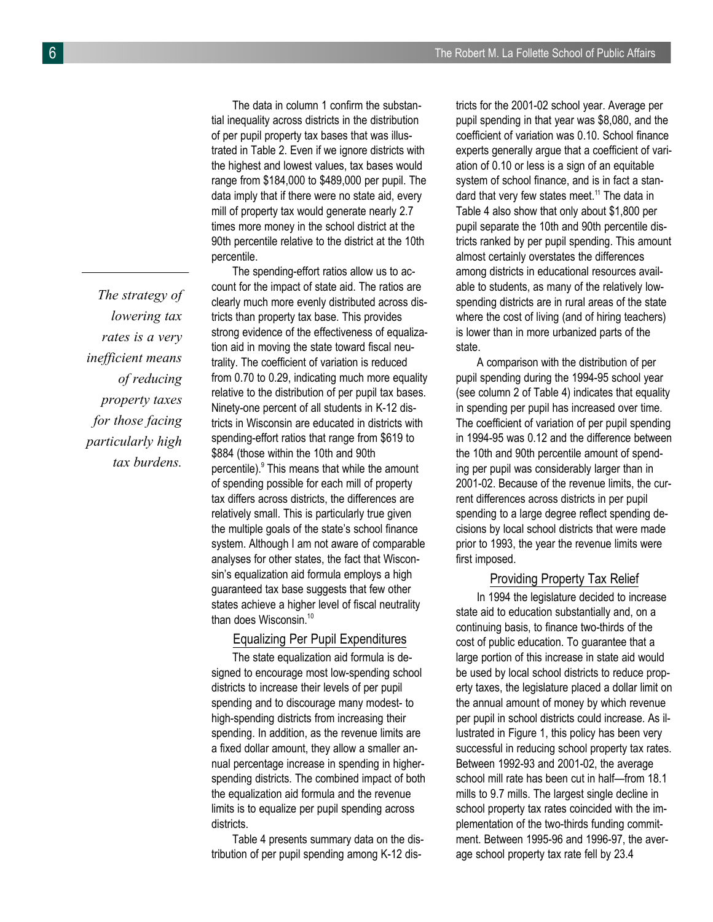*The strategy of lowering tax rates is a very inefficient means of reducing property taxes for those facing particularly high tax burdens.*

The data in column 1 confirm the substantial inequality across districts in the distribution of per pupil property tax bases that was illustrated in Table 2. Even if we ignore districts with the highest and lowest values, tax bases would range from \$184,000 to \$489,000 per pupil. The data imply that if there were no state aid, every mill of property tax would generate nearly 2.7 times more money in the school district at the 90th percentile relative to the district at the 10th percentile.

The spending-effort ratios allow us to account for the impact of state aid. The ratios are clearly much more evenly distributed across districts than property tax base. This provides strong evidence of the effectiveness of equalization aid in moving the state toward fiscal neutrality. The coefficient of variation is reduced from 0.70 to 0.29, indicating much more equality relative to the distribution of per pupil tax bases. Ninety-one percent of all students in K-12 districts in Wisconsin are educated in districts with spending-effort ratios that range from \$619 to \$884 (those within the 10th and 90th percentile).<sup>9</sup> This means that while the amount of spending possible for each mill of property tax differs across districts, the differences are relatively small. This is particularly true given the multiple goals of the state's school finance system. Although I am not aware of comparable analyses for other states, the fact that Wisconsin's equalization aid formula employs a high guaranteed tax base suggests that few other states achieve a higher level of fiscal neutrality than does Wisconsin.<sup>10</sup>

# Equalizing Per Pupil Expenditures

The state equalization aid formula is designed to encourage most low-spending school districts to increase their levels of per pupil spending and to discourage many modest- to high-spending districts from increasing their spending. In addition, as the revenue limits are a fixed dollar amount, they allow a smaller annual percentage increase in spending in higherspending districts. The combined impact of both the equalization aid formula and the revenue limits is to equalize per pupil spending across districts.

Table 4 presents summary data on the distribution of per pupil spending among K-12 dis-

tricts for the 2001-02 school year. Average per pupil spending in that year was \$8,080, and the coefficient of variation was 0.10. School finance experts generally argue that a coefficient of variation of 0.10 or less is a sign of an equitable system of school finance, and is in fact a standard that very few states meet.<sup>11</sup> The data in Table 4 also show that only about \$1,800 per pupil separate the 10th and 90th percentile districts ranked by per pupil spending. This amount almost certainly overstates the differences among districts in educational resources available to students, as many of the relatively lowspending districts are in rural areas of the state where the cost of living (and of hiring teachers) is lower than in more urbanized parts of the state.

A comparison with the distribution of per pupil spending during the 1994-95 school year (see column 2 of Table 4) indicates that equality in spending per pupil has increased over time. The coefficient of variation of per pupil spending in 1994-95 was 0.12 and the difference between the 10th and 90th percentile amount of spending per pupil was considerably larger than in 2001-02. Because of the revenue limits, the current differences across districts in per pupil spending to a large degree reflect spending decisions by local school districts that were made prior to 1993, the year the revenue limits were first imposed.

#### Providing Property Tax Relief

In 1994 the legislature decided to increase state aid to education substantially and, on a continuing basis, to finance two-thirds of the cost of public education. To guarantee that a large portion of this increase in state aid would be used by local school districts to reduce property taxes, the legislature placed a dollar limit on the annual amount of money by which revenue per pupil in school districts could increase. As illustrated in Figure 1, this policy has been very successful in reducing school property tax rates. Between 1992-93 and 2001-02, the average school mill rate has been cut in half—from 18.1 mills to 9.7 mills. The largest single decline in school property tax rates coincided with the implementation of the two-thirds funding commitment. Between 1995-96 and 1996-97, the average school property tax rate fell by 23.4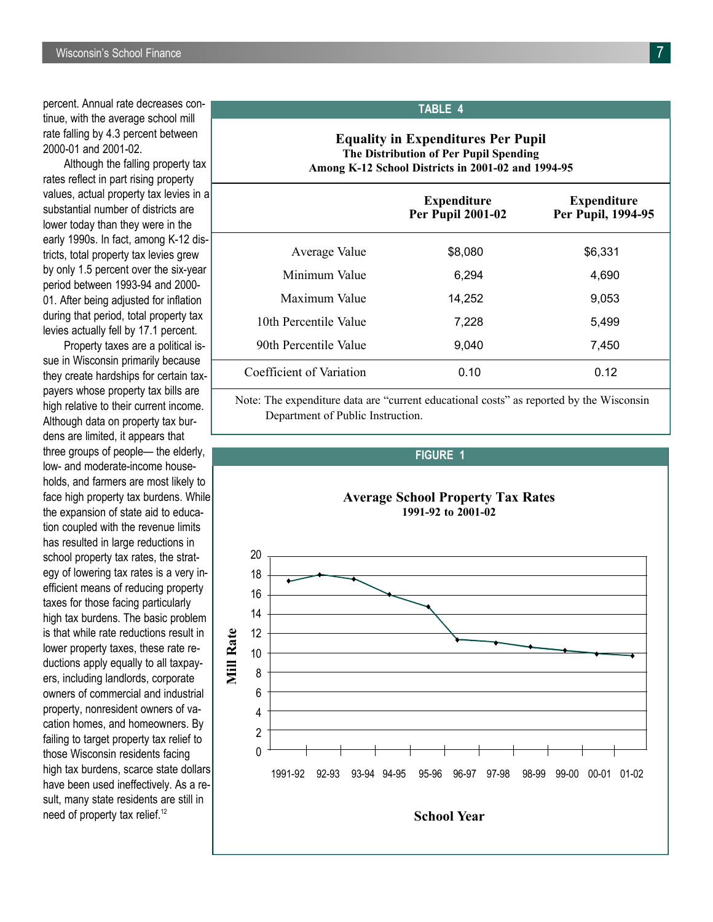percent. Annual rate decreases continue, with the average school mill rate falling by 4.3 percent between 2000-01 and 2001-02.

Although the falling property tax rates reflect in part rising property values, actual property tax levies in a substantial number of districts are lower today than they were in the early 1990s. In fact, among K-12 districts, total property tax levies grew by only 1.5 percent over the six-year period between 1993-94 and 2000- 01. After being adjusted for inflation during that period, total property tax levies actually fell by 17.1 percent.

Property taxes are a political issue in Wisconsin primarily because they create hardships for certain taxpayers whose property tax bills are high relative to their current income. Although data on property tax burdens are limited, it appears that three groups of people— the elderly, low- and moderate-income households, and farmers are most likely to face high property tax burdens. While the expansion of state aid to education coupled with the revenue limits has resulted in large reductions in school property tax rates, the strategy of lowering tax rates is a very inefficient means of reducing property taxes for those facing particularly high tax burdens. The basic problem is that while rate reductions result in lower property taxes, these rate reductions apply equally to all taxpayers, including landlords, corporate owners of commercial and industrial property, nonresident owners of vacation homes, and homeowners. By failing to target property tax relief to those Wisconsin residents facing high tax burdens, scarce state dollars have been used ineffectively. As a result, many state residents are still in need of property tax relief.<sup>12</sup>

# **TABLE 4**

## **Equality in Expenditures Per Pupil The Distribution of Per Pupil Spending Among K-12 School Districts in 2001-02 and 1994-95**

|                          | <b>Expenditure</b><br><b>Per Pupil 2001-02</b> | <b>Expenditure</b><br>Per Pupil, 1994-95 |
|--------------------------|------------------------------------------------|------------------------------------------|
| Average Value            | \$8,080                                        | \$6,331                                  |
| Minimum Value            | 6,294                                          | 4,690                                    |
| Maximum Value            | 14,252                                         | 9,053                                    |
| 10th Percentile Value    | 7,228                                          | 5,499                                    |
| 90th Percentile Value    | 9,040                                          | 7,450                                    |
| Coefficient of Variation | 0.10                                           | 0.12                                     |

Note: The expenditure data are "current educational costs" as reported by the Wisconsin Department of Public Instruction.

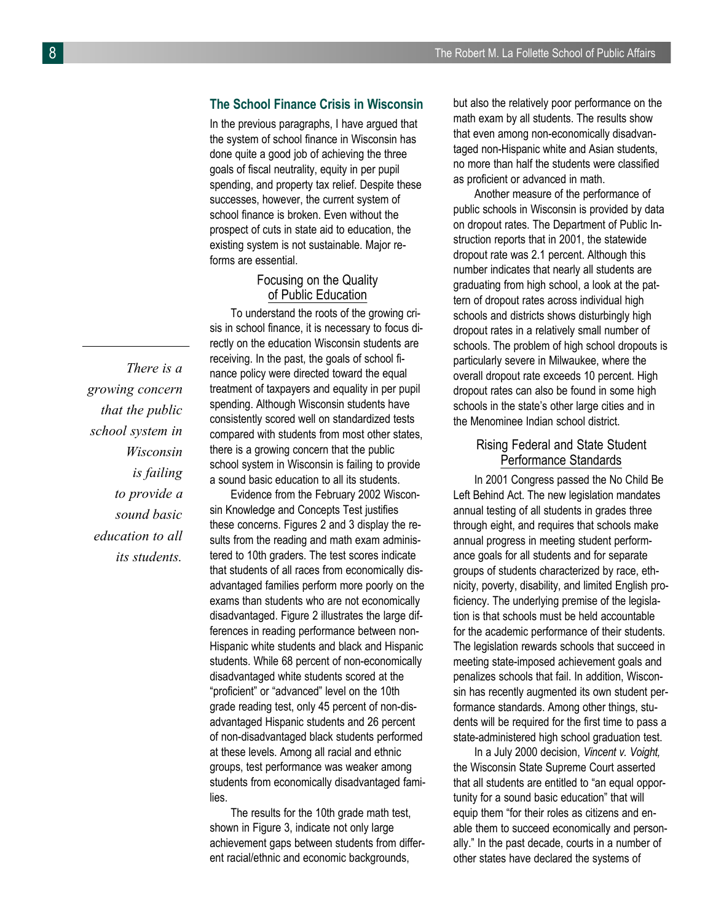# **The School Finance Crisis in Wisconsin**

In the previous paragraphs, I have argued that the system of school finance in Wisconsin has done quite a good job of achieving the three goals of fiscal neutrality, equity in per pupil spending, and property tax relief. Despite these successes, however, the current system of school finance is broken. Even without the prospect of cuts in state aid to education, the existing system is not sustainable. Major reforms are essential.

#### Focusing on the Quality of Public Education

To understand the roots of the growing crisis in school finance, it is necessary to focus directly on the education Wisconsin students are receiving. In the past, the goals of school finance policy were directed toward the equal treatment of taxpayers and equality in per pupil spending. Although Wisconsin students have consistently scored well on standardized tests compared with students from most other states, there is a growing concern that the public school system in Wisconsin is failing to provide a sound basic education to all its students.

Evidence from the February 2002 Wisconsin Knowledge and Concepts Test justifies these concerns. Figures 2 and 3 display the results from the reading and math exam administered to 10th graders. The test scores indicate that students of all races from economically disadvantaged families perform more poorly on the exams than students who are not economically disadvantaged. Figure 2 illustrates the large differences in reading performance between non-Hispanic white students and black and Hispanic students. While 68 percent of non-economically disadvantaged white students scored at the "proficient" or "advanced" level on the 10th grade reading test, only 45 percent of non-disadvantaged Hispanic students and 26 percent of non-disadvantaged black students performed at these levels. Among all racial and ethnic groups, test performance was weaker among students from economically disadvantaged families.

The results for the 10th grade math test, shown in Figure 3, indicate not only large achievement gaps between students from different racial/ethnic and economic backgrounds,

but also the relatively poor performance on the math exam by all students. The results show that even among non-economically disadvantaged non-Hispanic white and Asian students, no more than half the students were classified as proficient or advanced in math.

Another measure of the performance of public schools in Wisconsin is provided by data on dropout rates. The Department of Public Instruction reports that in 2001, the statewide dropout rate was 2.1 percent. Although this number indicates that nearly all students are graduating from high school, a look at the pattern of dropout rates across individual high schools and districts shows disturbingly high dropout rates in a relatively small number of schools. The problem of high school dropouts is particularly severe in Milwaukee, where the overall dropout rate exceeds 10 percent. High dropout rates can also be found in some high schools in the state's other large cities and in the Menominee Indian school district.

# Rising Federal and State Student Performance Standards

In 2001 Congress passed the No Child Be Left Behind Act. The new legislation mandates annual testing of all students in grades three through eight, and requires that schools make annual progress in meeting student performance goals for all students and for separate groups of students characterized by race, ethnicity, poverty, disability, and limited English proficiency. The underlying premise of the legislation is that schools must be held accountable for the academic performance of their students. The legislation rewards schools that succeed in meeting state-imposed achievement goals and penalizes schools that fail. In addition, Wisconsin has recently augmented its own student performance standards. Among other things, students will be required for the first time to pass a state-administered high school graduation test.

In a July 2000 decision, *Vincent v. Voight,* the Wisconsin State Supreme Court asserted that all students are entitled to "an equal opportunity for a sound basic education" that will equip them "for their roles as citizens and enable them to succeed economically and personally." In the past decade, courts in a number of other states have declared the systems of

*There is a growing concern that the public school system in Wisconsin is failing to provide a sound basic education to all its students.*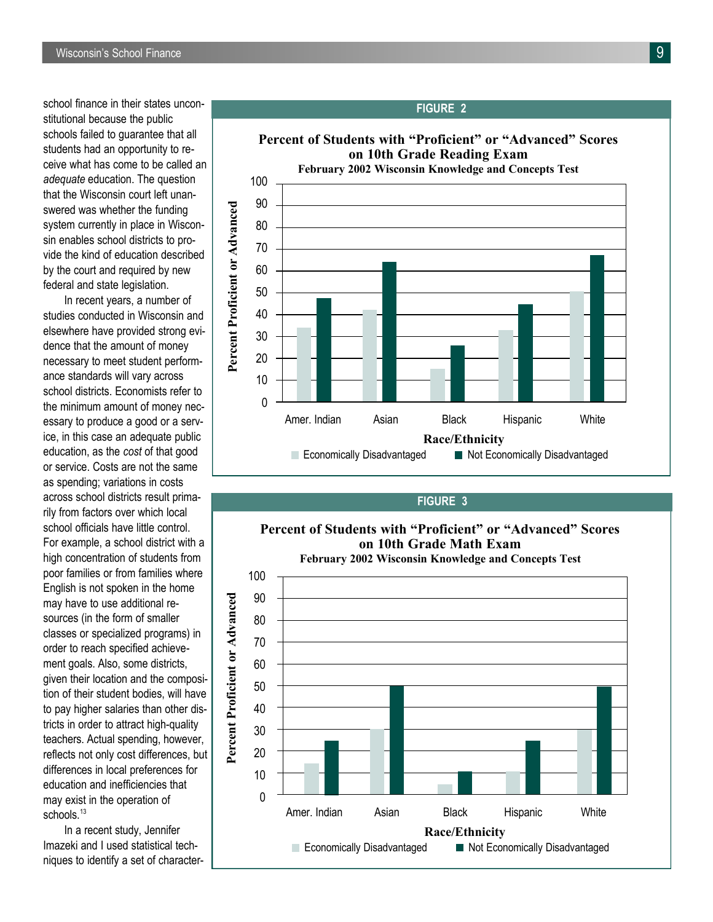school finance in their states unconstitutional because the public schools failed to guarantee that all students had an opportunity to receive what has come to be called an *adequate* education. The question that the Wisconsin court left unanswered was whether the funding system currently in place in Wisconsin enables school districts to provide the kind of education described by the court and required by new federal and state legislation.

In recent years, a number of studies conducted in Wisconsin and elsewhere have provided strong evidence that the amount of money necessary to meet student performance standards will vary across school districts. Economists refer to the minimum amount of money necessary to produce a good or a service, in this case an adequate public education, as the *cost* of that good or service. Costs are not the same as spending; variations in costs across school districts result primarily from factors over which local school officials have little control. For example, a school district with a high concentration of students from poor families or from families where English is not spoken in the home may have to use additional resources (in the form of smaller classes or specialized programs) in order to reach specified achievement goals. Also, some districts, given their location and the composition of their student bodies, will have to pay higher salaries than other districts in order to attract high-quality teachers. Actual spending, however, reflects not only cost differences, but differences in local preferences for education and inefficiencies that may exist in the operation of schools.<sup>13</sup>

In a recent study, Jennifer Imazeki and I used statistical techniques to identify a set of character-



#### **FIGURE 3**



#### **FIGURE 2**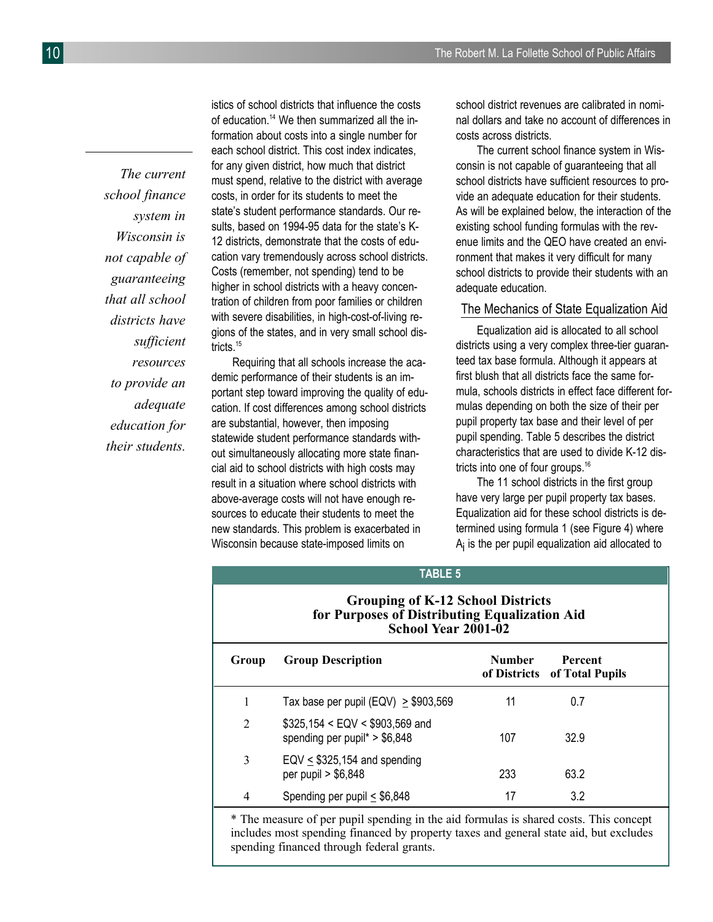*The current school finance system in Wisconsin is not capable of guaranteeing that all school districts have sufficient resources to provide an adequate education for their students.*

istics of school districts that influence the costs of education.<sup>14</sup> We then summarized all the information about costs into a single number for each school district. This cost index indicates, for any given district, how much that district must spend, relative to the district with average costs, in order for its students to meet the state's student performance standards. Our results, based on 1994-95 data for the state's K-12 districts, demonstrate that the costs of education vary tremendously across school districts. Costs (remember, not spending) tend to be higher in school districts with a heavy concentration of children from poor families or children with severe disabilities, in high-cost-of-living regions of the states, and in very small school districts.<sup>15</sup>

Requiring that all schools increase the academic performance of their students is an important step toward improving the quality of education. If cost differences among school districts are substantial, however, then imposing statewide student performance standards without simultaneously allocating more state financial aid to school districts with high costs may result in a situation where school districts with above-average costs will not have enough resources to educate their students to meet the new standards. This problem is exacerbated in Wisconsin because state-imposed limits on

school district revenues are calibrated in nominal dollars and take no account of differences in costs across districts.

The current school finance system in Wisconsin is not capable of guaranteeing that all school districts have sufficient resources to provide an adequate education for their students. As will be explained below, the interaction of the existing school funding formulas with the revenue limits and the QEO have created an environment that makes it very difficult for many school districts to provide their students with an adequate education.

#### The Mechanics of State Equalization Aid

Equalization aid is allocated to all school districts using a very complex three-tier guaranteed tax base formula. Although it appears at first blush that all districts face the same formula, schools districts in effect face different formulas depending on both the size of their per pupil property tax base and their level of per pupil spending. Table 5 describes the district characteristics that are used to divide K-12 districts into one of four groups.<sup>16</sup>

The 11 school districts in the first group have very large per pupil property tax bases. Equalization aid for these school districts is determined using formula 1 (see Figure 4) where  ${\sf A}_{\sf i}$  is the per pupil equalization aid allocated to

# Table 5 **TABLE 5**

#### **Grouping of K-12 School Districts for Purposes of Distributing Equalization Aid School Year 2001-02**

| Group          | <b>Group Description</b>                                         | Number<br>of Districts | <b>Percent</b><br>of Total Pupils |  |
|----------------|------------------------------------------------------------------|------------------------|-----------------------------------|--|
|                | Tax base per pupil (EQV) $\geq$ \$903,569                        | 11                     | 0.7                               |  |
| $\overline{2}$ | $$325,154 < EQV < $903,569$ and<br>spending per pupil* > \$6,848 | 107                    | 32.9                              |  |
| 3              | EQV $\leq$ \$325,154 and spending<br>per pupil $> $6,848$        | 233                    | 63.2                              |  |
| 4              | Spending per pupil $\leq$ \$6,848                                | 17                     | 3.2                               |  |

\* The measure of per pupil spending in the aid formulas is shared costs. This concept includes most spending financed by property taxes and general state aid, but excludes spending financed through federal grants.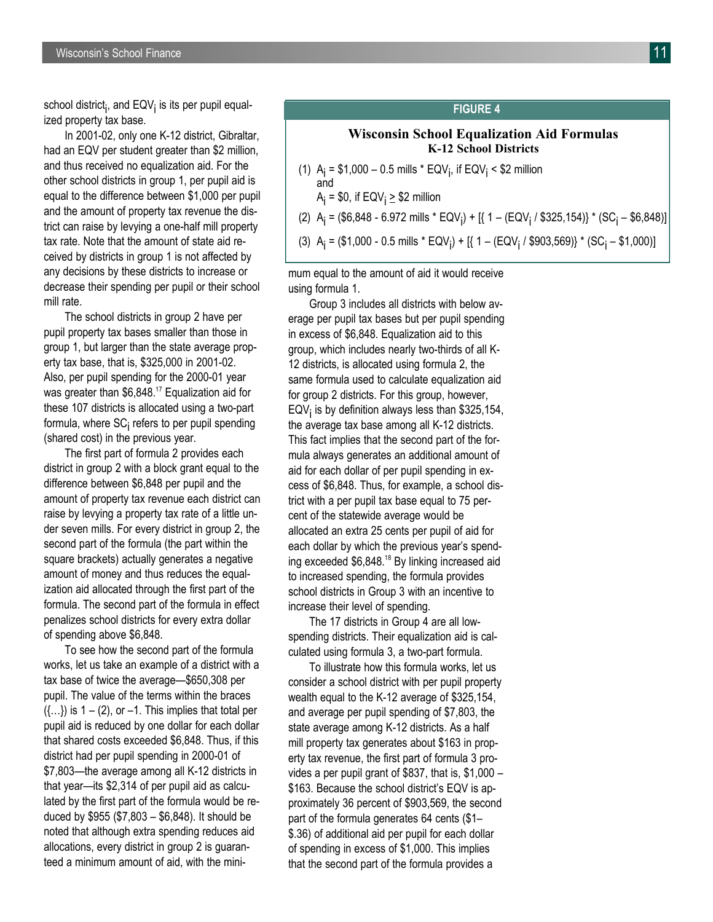In 2001-02, only one K-12 district, Gibraltar, had an EQV per student greater than \$2 million, and thus received no equalization aid. For the other school districts in group 1, per pupil aid is equal to the difference between \$1,000 per pupil and the amount of property tax revenue the district can raise by levying a one-half mill property tax rate. Note that the amount of state aid received by districts in group 1 is not affected by any decisions by these districts to increase or decrease their spending per pupil or their school mill rate.

The school districts in group 2 have per pupil property tax bases smaller than those in group 1, but larger than the state average property tax base, that is, \$325,000 in 2001-02. Also, per pupil spending for the 2000-01 year was greater than \$6,848.<sup>17</sup> Equalization aid for these 107 districts is allocated using a two-part formula, where SC<sub>İ</sub> refers to per pupil spending (shared cost) in the previous year.

The first part of formula 2 provides each district in group 2 with a block grant equal to the difference between \$6,848 per pupil and the amount of property tax revenue each district can raise by levying a property tax rate of a little under seven mills. For every district in group 2, the second part of the formula (the part within the square brackets) actually generates a negative amount of money and thus reduces the equalization aid allocated through the first part of the formula. The second part of the formula in effect penalizes school districts for every extra dollar of spending above \$6,848.

To see how the second part of the formula works, let us take an example of a district with a tax base of twice the average—\$650,308 per pupil. The value of the terms within the braces  $({...})$  is  $1 - (2)$ , or  $-1$ . This implies that total per pupil aid is reduced by one dollar for each dollar that shared costs exceeded \$6,848. Thus, if this district had per pupil spending in 2000-01 of \$7,803—the average among all K-12 districts in that year—its \$2,314 of per pupil aid as calculated by the first part of the formula would be reduced by \$955 (\$7,803 – \$6,848). It should be noted that although extra spending reduces aid allocations, every district in group 2 is guaranteed a minimum amount of aid, with the mini-

#### **FIGURE 4**

## **Wisconsin School Equalization Aid Formulas K-12 School Districts**

- (1) A<sub>i</sub> = \$1,000 0.5 mills \* EQV<sub>i</sub>, if EQV<sub>i</sub> < \$2 million and
	- A<sub>i</sub> = \$0, if EQV<sub>i</sub> <u>></u> \$2 million
- (2) A<sub>j</sub> = (\$6,848 6.972 mills \* EQV<sub>i</sub>) + [{ 1 (EQV<sub>i</sub> / \$325,154)} \* (SC<sub>i</sub> \$6,848)]
- (3) A<sub>i</sub> = (\$1,000 0.5 mills \* EQV<sub>i</sub>) + [{ 1 (EQV<sub>i</sub> / \$903,569)} \* (SC<sub>i</sub> \$1,000)]

mum equal to the amount of aid it would receive using formula 1.

Group 3 includes all districts with below average per pupil tax bases but per pupil spending in excess of \$6,848. Equalization aid to this group, which includes nearly two-thirds of all K-12 districts, is allocated using formula 2, the same formula used to calculate equalization aid for group 2 districts. For this group, however,  $\mathsf{EQV_{\mathsf{i}}}$  is by definition always less than \$325,154, the average tax base among all K-12 districts. This fact implies that the second part of the formula always generates an additional amount of aid for each dollar of per pupil spending in excess of \$6,848. Thus, for example, a school district with a per pupil tax base equal to 75 percent of the statewide average would be allocated an extra 25 cents per pupil of aid for each dollar by which the previous year's spending exceeded \$6,848.<sup>18</sup> By linking increased aid to increased spending, the formula provides school districts in Group 3 with an incentive to increase their level of spending.

The 17 districts in Group 4 are all lowspending districts. Their equalization aid is calculated using formula 3, a two-part formula.

To illustrate how this formula works, let us consider a school district with per pupil property wealth equal to the K-12 average of \$325,154, and average per pupil spending of \$7,803, the state average among K-12 districts. As a half mill property tax generates about \$163 in property tax revenue, the first part of formula 3 provides a per pupil grant of \$837, that is, \$1,000 – \$163. Because the school district's EQV is approximately 36 percent of \$903,569, the second part of the formula generates 64 cents (\$1– \$.36) of additional aid per pupil for each dollar of spending in excess of \$1,000. This implies that the second part of the formula provides a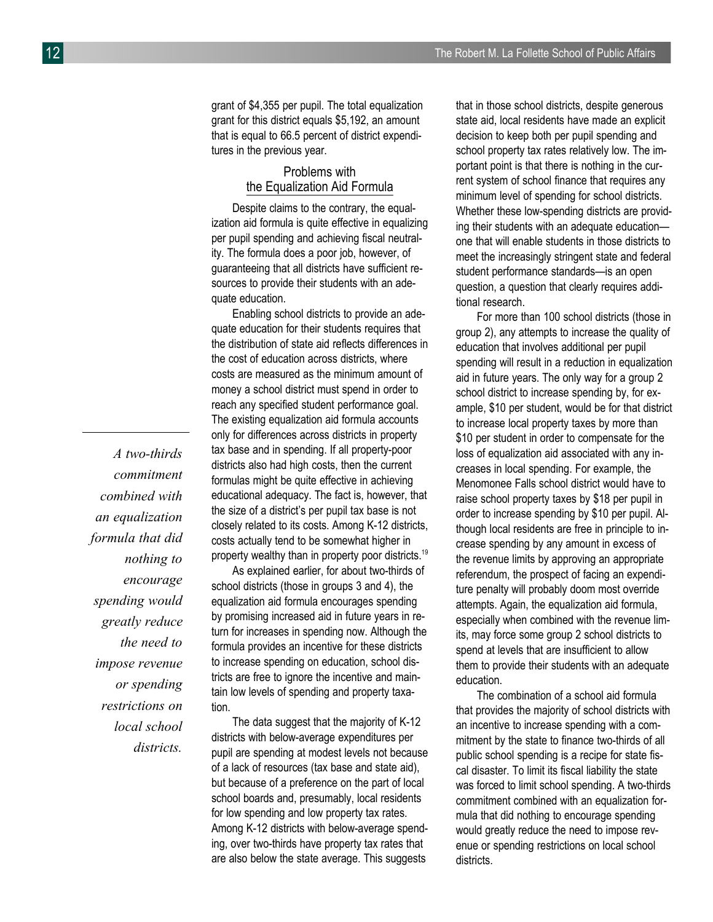grant of \$4,355 per pupil. The total equalization grant for this district equals \$5,192, an amount that is equal to 66.5 percent of district expenditures in the previous year.

# Problems with the Equalization Aid Formula

Despite claims to the contrary, the equalization aid formula is quite effective in equalizing per pupil spending and achieving fiscal neutrality. The formula does a poor job, however, of guaranteeing that all districts have sufficient resources to provide their students with an adequate education.

Enabling school districts to provide an adequate education for their students requires that the distribution of state aid reflects differences in the cost of education across districts, where costs are measured as the minimum amount of money a school district must spend in order to reach any specified student performance goal. The existing equalization aid formula accounts only for differences across districts in property tax base and in spending. If all property-poor districts also had high costs, then the current formulas might be quite effective in achieving educational adequacy. The fact is, however, that the size of a district's per pupil tax base is not closely related to its costs. Among K-12 districts, costs actually tend to be somewhat higher in property wealthy than in property poor districts.<sup>19</sup>

As explained earlier, for about two-thirds of school districts (those in groups 3 and 4), the equalization aid formula encourages spending by promising increased aid in future years in return for increases in spending now. Although the formula provides an incentive for these districts to increase spending on education, school districts are free to ignore the incentive and maintain low levels of spending and property taxation.

The data suggest that the majority of K-12 districts with below-average expenditures per pupil are spending at modest levels not because of a lack of resources (tax base and state aid), but because of a preference on the part of local school boards and, presumably, local residents for low spending and low property tax rates. Among K-12 districts with below-average spending, over two-thirds have property tax rates that are also below the state average. This suggests

that in those school districts, despite generous state aid, local residents have made an explicit decision to keep both per pupil spending and school property tax rates relatively low. The important point is that there is nothing in the current system of school finance that requires any minimum level of spending for school districts. Whether these low-spending districts are providing their students with an adequate education one that will enable students in those districts to meet the increasingly stringent state and federal student performance standards—is an open question, a question that clearly requires additional research.

For more than 100 school districts (those in group 2), any attempts to increase the quality of education that involves additional per pupil spending will result in a reduction in equalization aid in future years. The only way for a group 2 school district to increase spending by, for example, \$10 per student, would be for that district to increase local property taxes by more than \$10 per student in order to compensate for the loss of equalization aid associated with any increases in local spending. For example, the Menomonee Falls school district would have to raise school property taxes by \$18 per pupil in order to increase spending by \$10 per pupil. Although local residents are free in principle to increase spending by any amount in excess of the revenue limits by approving an appropriate referendum, the prospect of facing an expenditure penalty will probably doom most override attempts. Again, the equalization aid formula, especially when combined with the revenue limits, may force some group 2 school districts to spend at levels that are insufficient to allow them to provide their students with an adequate education.

The combination of a school aid formula that provides the majority of school districts with an incentive to increase spending with a commitment by the state to finance two-thirds of all public school spending is a recipe for state fiscal disaster. To limit its fiscal liability the state was forced to limit school spending. A two-thirds commitment combined with an equalization formula that did nothing to encourage spending would greatly reduce the need to impose revenue or spending restrictions on local school districts.

*A two-thirds commitment combined with an equalization formula that did nothing to encourage spending would greatly reduce the need to impose revenue or spending restrictions on local school districts.*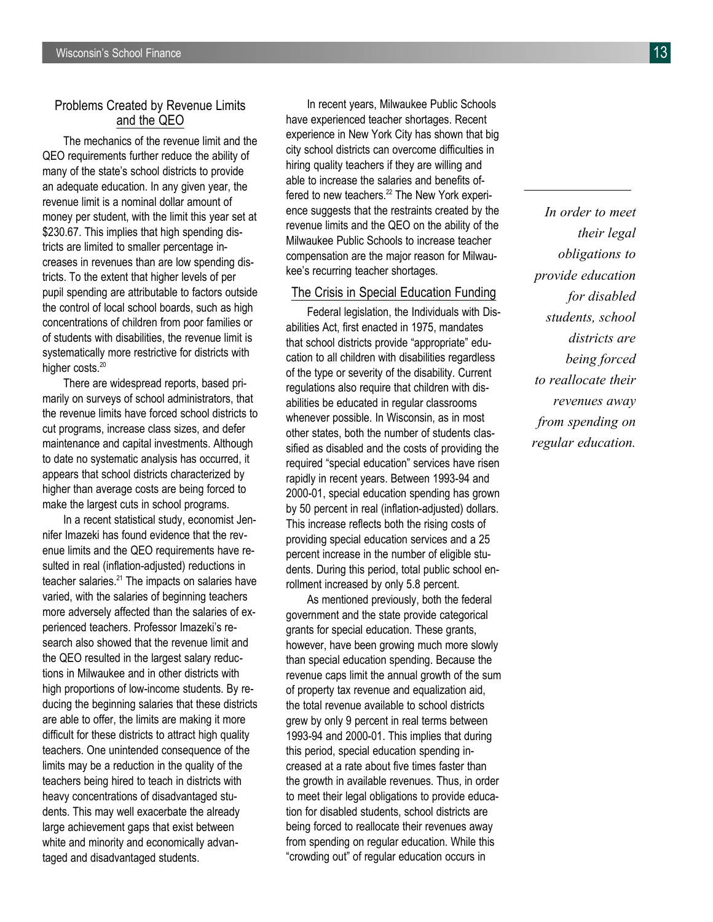# Problems Created by Revenue Limits and the QEO

The mechanics of the revenue limit and the QEO requirements further reduce the ability of many of the state's school districts to provide an adequate education. In any given year, the revenue limit is a nominal dollar amount of money per student, with the limit this year set at \$230.67. This implies that high spending districts are limited to smaller percentage increases in revenues than are low spending districts. To the extent that higher levels of per pupil spending are attributable to factors outside the control of local school boards, such as high concentrations of children from poor families or of students with disabilities, the revenue limit is systematically more restrictive for districts with higher costs.<sup>20</sup>

There are widespread reports, based primarily on surveys of school administrators, that the revenue limits have forced school districts to cut programs, increase class sizes, and defer maintenance and capital investments. Although to date no systematic analysis has occurred, it appears that school districts characterized by higher than average costs are being forced to make the largest cuts in school programs.

In a recent statistical study, economist Jennifer Imazeki has found evidence that the revenue limits and the QEO requirements have resulted in real (inflation-adjusted) reductions in teacher salaries.<sup>21</sup> The impacts on salaries have varied, with the salaries of beginning teachers more adversely affected than the salaries of experienced teachers. Professor Imazeki's research also showed that the revenue limit and the QEO resulted in the largest salary reductions in Milwaukee and in other districts with high proportions of low-income students. By reducing the beginning salaries that these districts are able to offer, the limits are making it more difficult for these districts to attract high quality teachers. One unintended consequence of the limits may be a reduction in the quality of the teachers being hired to teach in districts with heavy concentrations of disadvantaged students. This may well exacerbate the already large achievement gaps that exist between white and minority and economically advantaged and disadvantaged students.

In recent years, Milwaukee Public Schools have experienced teacher shortages. Recent experience in New York City has shown that big city school districts can overcome difficulties in hiring quality teachers if they are willing and able to increase the salaries and benefits offered to new teachers.<sup>22</sup> The New York experience suggests that the restraints created by the revenue limits and the QEO on the ability of the Milwaukee Public Schools to increase teacher compensation are the major reason for Milwaukee's recurring teacher shortages.

#### The Crisis in Special Education Funding

Federal legislation, the Individuals with Disabilities Act, first enacted in 1975, mandates that school districts provide "appropriate" education to all children with disabilities regardless of the type or severity of the disability. Current regulations also require that children with disabilities be educated in regular classrooms whenever possible. In Wisconsin, as in most other states, both the number of students classified as disabled and the costs of providing the required "special education" services have risen rapidly in recent years. Between 1993-94 and 2000-01, special education spending has grown by 50 percent in real (inflation-adjusted) dollars. This increase reflects both the rising costs of providing special education services and a 25 percent increase in the number of eligible students. During this period, total public school enrollment increased by only 5.8 percent.

As mentioned previously, both the federal government and the state provide categorical grants for special education. These grants, however, have been growing much more slowly than special education spending. Because the revenue caps limit the annual growth of the sum of property tax revenue and equalization aid, the total revenue available to school districts grew by only 9 percent in real terms between 1993-94 and 2000-01. This implies that during this period, special education spending increased at a rate about five times faster than the growth in available revenues. Thus, in order to meet their legal obligations to provide education for disabled students, school districts are being forced to reallocate their revenues away from spending on regular education. While this "crowding out" of regular education occurs in

*In order to meet their legal obligations to provide education for disabled students, school districts are being forced to reallocate their revenues away from spending on regular education.*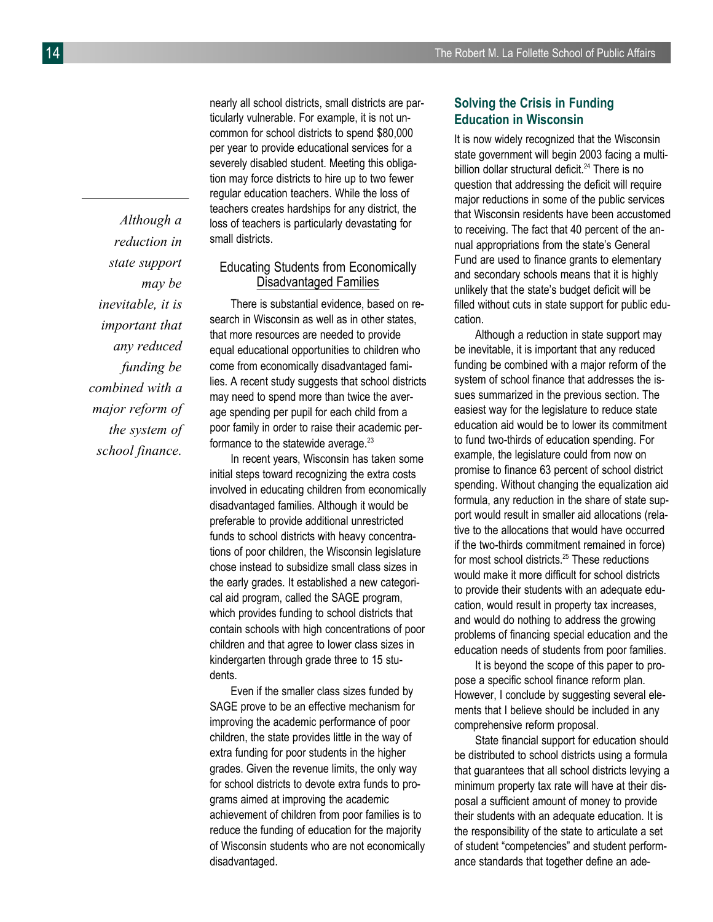*Although a reduction in state support may be inevitable, it is important that any reduced funding be combined with a major reform of the system of school finance.*

nearly all school districts, small districts are particularly vulnerable. For example, it is not uncommon for school districts to spend \$80,000 per year to provide educational services for a severely disabled student. Meeting this obligation may force districts to hire up to two fewer regular education teachers. While the loss of teachers creates hardships for any district, the loss of teachers is particularly devastating for small districts.

# Educating Students from Economically Disadvantaged Families

There is substantial evidence, based on research in Wisconsin as well as in other states, that more resources are needed to provide equal educational opportunities to children who come from economically disadvantaged families. A recent study suggests that school districts may need to spend more than twice the average spending per pupil for each child from a poor family in order to raise their academic performance to the statewide average. $23$ 

In recent years, Wisconsin has taken some initial steps toward recognizing the extra costs involved in educating children from economically disadvantaged families. Although it would be preferable to provide additional unrestricted funds to school districts with heavy concentrations of poor children, the Wisconsin legislature chose instead to subsidize small class sizes in the early grades. It established a new categorical aid program, called the SAGE program, which provides funding to school districts that contain schools with high concentrations of poor children and that agree to lower class sizes in kindergarten through grade three to 15 students.

Even if the smaller class sizes funded by SAGE prove to be an effective mechanism for improving the academic performance of poor children, the state provides little in the way of extra funding for poor students in the higher grades. Given the revenue limits, the only way for school districts to devote extra funds to programs aimed at improving the academic achievement of children from poor families is to reduce the funding of education for the majority of Wisconsin students who are not economically disadvantaged.

# **Solving the Crisis in Funding Education in Wisconsin**

It is now widely recognized that the Wisconsin state government will begin 2003 facing a multibillion dollar structural deficit.<sup>24</sup> There is no question that addressing the deficit will require major reductions in some of the public services that Wisconsin residents have been accustomed to receiving. The fact that 40 percent of the annual appropriations from the state's General Fund are used to finance grants to elementary and secondary schools means that it is highly unlikely that the state's budget deficit will be filled without cuts in state support for public education.

Although a reduction in state support may be inevitable, it is important that any reduced funding be combined with a major reform of the system of school finance that addresses the issues summarized in the previous section. The easiest way for the legislature to reduce state education aid would be to lower its commitment to fund two-thirds of education spending. For example, the legislature could from now on promise to finance 63 percent of school district spending. Without changing the equalization aid formula, any reduction in the share of state support would result in smaller aid allocations (relative to the allocations that would have occurred if the two-thirds commitment remained in force) for most school districts.<sup>25</sup> These reductions would make it more difficult for school districts to provide their students with an adequate education, would result in property tax increases, and would do nothing to address the growing problems of financing special education and the education needs of students from poor families.

It is beyond the scope of this paper to propose a specific school finance reform plan. However, I conclude by suggesting several elements that I believe should be included in any comprehensive reform proposal.

State financial support for education should be distributed to school districts using a formula that guarantees that all school districts levying a minimum property tax rate will have at their disposal a sufficient amount of money to provide their students with an adequate education. It is the responsibility of the state to articulate a set of student "competencies" and student performance standards that together define an ade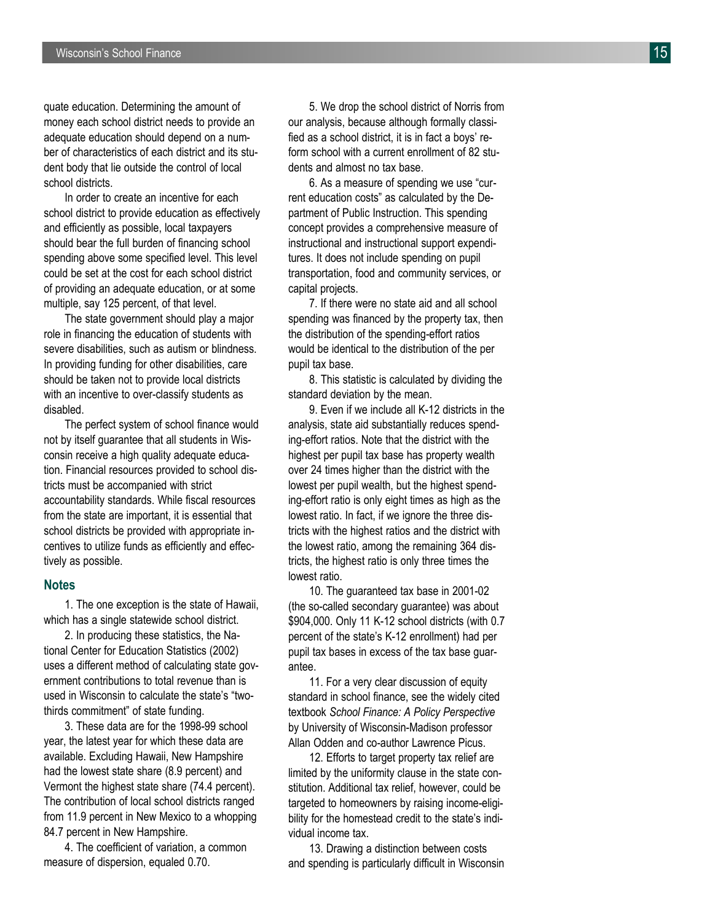quate education. Determining the amount of money each school district needs to provide an adequate education should depend on a num ber of characteristics of each district and its stu dent body that lie outside the control of local school districts.

In order to create an incentive for each school district to provide education as effectively and efficiently as possible, local taxpayers should bear the full burden of financing school spending above some specified level. This level could be set at the cost for each school district of providing an adequate education, or at some multiple, say 125 percent, of that level.

The state government should play a major role in financing the education of students with severe disabilities, such as autism or blindness. In providing funding for other disabilities, care should be taken not to provide local districts with an incentive to over-classify students as disabled.

The perfect system of school finance would not by itself guarantee that all students in Wis consin receive a high quality adequate educa tion. Financial resources provided to school dis tricts must be accompanied with strict accountability standards. While fiscal resources from the state are important, it is essential that school districts be provided with appropriate in centives to utilize funds as efficiently and effec tively as possible.

#### **Notes**

1. The one exception is the state of Hawaii, which has a single statewide school district.

2. In producing these statistics, the Na tional Center for Education Statistics (2002) uses a different method of calculating state gov ernment contributions to total revenue than is used in Wisconsin to calculate the state's "twothirds commitment" of state funding.

3. These data are for the 1998-99 school year, the latest year for which these data are available. Excluding Hawaii, New Hampshire had the lowest state share (8.9 percent) and Vermont the highest state share (74.4 percent). The contribution of local school districts ranged from 11.9 percent in New Mexico to a whopping 84.7 percent in New Hampshire.

4. The coefficient of variation, a common measure of dispersion, equaled 0.70.

5. We drop the school district of Norris from our analysis, because although formally classi fied as a school district, it is in fact a boys' re form school with a current enrollment of 82 stu dents and almost no tax base.

6. As a measure of spending we use "cur rent education costs" as calculated by the De partment of Public Instruction. This spending concept provides a comprehensive measure of instructional and instructional support expendi tures. It does not include spending on pupil transportation, food and community services, or capital projects.

7. If there were no state aid and all school spending was financed by the property tax, then the distribution of the spending-effort ratios would be identical to the distribution of the per pupil tax base.

8. This statistic is calculated by dividing the standard deviation by the mean.

9. Even if we include all K-12 districts in the analysis, state aid substantially reduces spend ing-effort ratios. Note that the district with the highest per pupil tax base has property wealth over 24 times higher than the district with the lowest per pupil wealth, but the highest spend ing-effort ratio is only eight times as high as the lowest ratio. In fact, if we ignore the three dis tricts with the highest ratios and the district with the lowest ratio, among the remaining 364 dis tricts, the highest ratio is only three times the lowest ratio.

10. The guaranteed tax base in 2001-02 (the so-called secondary guarantee) was about \$904,000. Only 11 K-12 school districts (with 0.7 percent of the state's K-12 enrollment) had per pupil tax bases in excess of the tax base guar antee.

11. For a very clear discussion of equity standard in school finance, see the widely cited textbook *School Finance: A Policy Perspective* by University of Wisconsin-Madison professor Allan Odden and co-author Lawrence Picus.

12. Efforts to target property tax relief are limited by the uniformity clause in the state con stitution. Additional tax relief, however, could be targeted to homeowners by raising income-eligi bility for the homestead credit to the state's indi vidual income tax.

13. Drawing a distinction between costs and spending is particularly difficult in Wisconsin